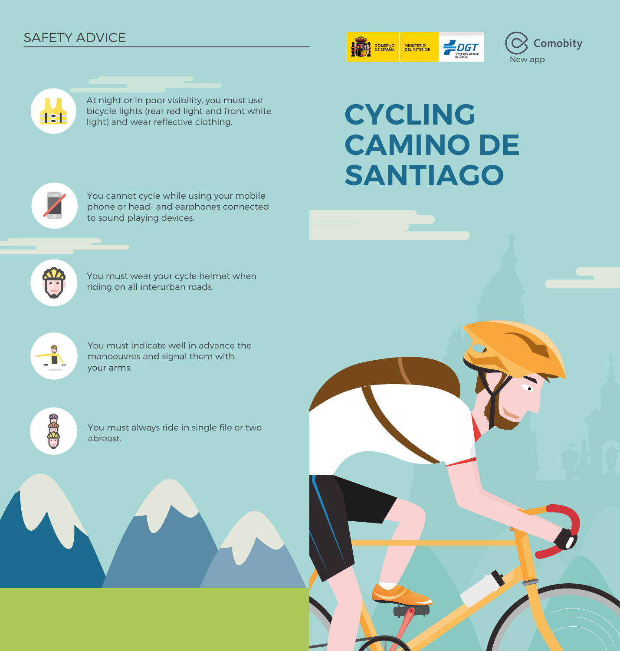# SAFETY ADVICE







**CYCLING CAMINO DE SANTIAGO**



Æ

You cannot cycle while using your mobile phone or head- and earphones connected to sound playing devices.



You must wear your cycle helmet when riding on all interurban roads.



You must indicate well in advance the manoeuvres and signal them with your arms.



You must always ride in single file or two abreast.